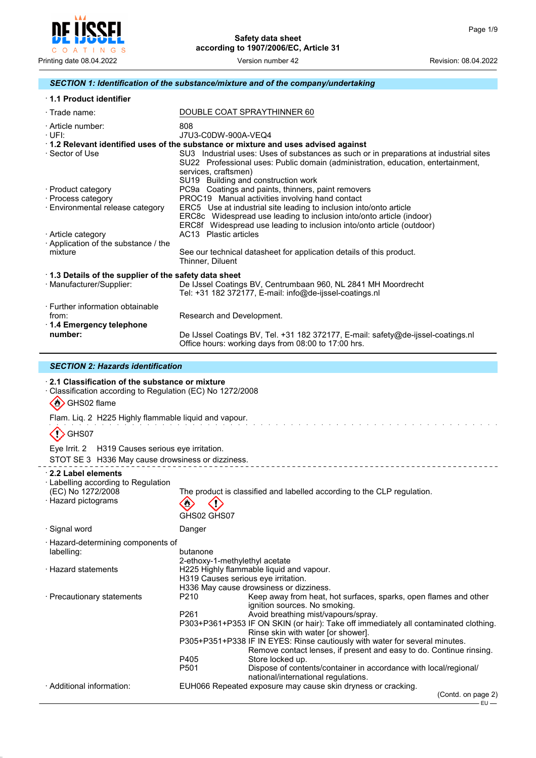

# *SECTION 1: Identification of the substance/mixture and of the company/undertaking*

| 1.1 Product identifier             |                                                                                                                                                                                                                                           |  |  |  |  |
|------------------------------------|-------------------------------------------------------------------------------------------------------------------------------------------------------------------------------------------------------------------------------------------|--|--|--|--|
| $\cdot$ Trade name:                | DOUBLE COAT SPRAYTHINNER 60                                                                                                                                                                                                               |  |  |  |  |
| · Article number:<br>·UFI:         | 808<br>J7U3-C0DW-900A-VEQ4                                                                                                                                                                                                                |  |  |  |  |
|                                    | 1.2 Relevant identified uses of the substance or mixture and uses advised against                                                                                                                                                         |  |  |  |  |
| · Sector of Use                    | SU3 Industrial uses: Uses of substances as such or in preparations at industrial sites<br>SU22 Professional uses: Public domain (administration, education, entertainment,<br>services, craftsmen)<br>SU19 Building and construction work |  |  |  |  |
| · Product category                 | PC9a Coatings and paints, thinners, paint removers                                                                                                                                                                                        |  |  |  |  |
| · Process category                 | PROC19 Manual activities involving hand contact                                                                                                                                                                                           |  |  |  |  |
| · Environmental release category   | ERC5 Use at industrial site leading to inclusion into/onto article<br>ERC8c Widespread use leading to inclusion into/onto article (indoor)<br>ERC8f Widespread use leading to inclusion into/onto article (outdoor)                       |  |  |  |  |
| · Article category                 | AC13 Plastic articles                                                                                                                                                                                                                     |  |  |  |  |
| Application of the substance / the |                                                                                                                                                                                                                                           |  |  |  |  |
| mixture                            | See our technical datasheet for application details of this product.<br>Thinner, Diluent                                                                                                                                                  |  |  |  |  |
|                                    | 1.3 Details of the supplier of the safety data sheet                                                                                                                                                                                      |  |  |  |  |
| · Manufacturer/Supplier:           | De IJssel Coatings BV, Centrumbaan 960, NL 2841 MH Moordrecht<br>Tel: +31 182 372177, E-mail: info@de-ijssel-coatings.nl                                                                                                                  |  |  |  |  |
| · Further information obtainable   |                                                                                                                                                                                                                                           |  |  |  |  |
| from:                              | Research and Development.                                                                                                                                                                                                                 |  |  |  |  |
| ⋅ 1.4 Emergency telephone          |                                                                                                                                                                                                                                           |  |  |  |  |
| number:                            | De IJssel Coatings BV, Tel. +31 182 372177, E-mail: safety@de-ijssel-coatings.nl<br>Office hours: working days from 08:00 to 17:00 hrs.                                                                                                   |  |  |  |  |

# *SECTION 2: Hazards identification*

| ⋅ 2.1 Classification of the substance or mixture<br>Classification according to Regulation (EC) No 1272/2008<br>◇<br>GHS02 flame |                                                      |                                                                                                                                                                                                                                                                                                                                                                                                                                                                                                                                                                                                                                                                        |
|----------------------------------------------------------------------------------------------------------------------------------|------------------------------------------------------|------------------------------------------------------------------------------------------------------------------------------------------------------------------------------------------------------------------------------------------------------------------------------------------------------------------------------------------------------------------------------------------------------------------------------------------------------------------------------------------------------------------------------------------------------------------------------------------------------------------------------------------------------------------------|
| Flam. Liq. 2 H225 Highly flammable liquid and vapour.                                                                            |                                                      |                                                                                                                                                                                                                                                                                                                                                                                                                                                                                                                                                                                                                                                                        |
| GHS07                                                                                                                            |                                                      |                                                                                                                                                                                                                                                                                                                                                                                                                                                                                                                                                                                                                                                                        |
| Eye Irrit. 2 H319 Causes serious eye irritation.                                                                                 |                                                      |                                                                                                                                                                                                                                                                                                                                                                                                                                                                                                                                                                                                                                                                        |
| STOT SE 3 H336 May cause drowsiness or dizziness.                                                                                |                                                      |                                                                                                                                                                                                                                                                                                                                                                                                                                                                                                                                                                                                                                                                        |
| 2.2 Label elements<br>· Labelling according to Regulation<br>(EC) No 1272/2008<br>· Hazard pictograms                            | GHS02 GHS07                                          | The product is classified and labelled according to the CLP regulation.                                                                                                                                                                                                                                                                                                                                                                                                                                                                                                                                                                                                |
| · Signal word                                                                                                                    | Danger                                               |                                                                                                                                                                                                                                                                                                                                                                                                                                                                                                                                                                                                                                                                        |
| · Hazard-determining components of<br>labelling:<br>· Hazard statements                                                          | butanone<br>2-ethoxy-1-methylethyl acetate           | H225 Highly flammable liquid and vapour.<br>H319 Causes serious eye irritation.                                                                                                                                                                                                                                                                                                                                                                                                                                                                                                                                                                                        |
| · Precautionary statements<br>· Additional information:                                                                          | P <sub>210</sub><br>P <sub>261</sub><br>P405<br>P501 | H336 May cause drowsiness or dizziness.<br>Keep away from heat, hot surfaces, sparks, open flames and other<br>ignition sources. No smoking.<br>Avoid breathing mist/vapours/spray.<br>P303+P361+P353 IF ON SKIN (or hair): Take off immediately all contaminated clothing.<br>Rinse skin with water [or shower].<br>P305+P351+P338 IF IN EYES: Rinse cautiously with water for several minutes.<br>Remove contact lenses, if present and easy to do. Continue rinsing.<br>Store locked up.<br>Dispose of contents/container in accordance with local/regional/<br>national/international regulations.<br>EUH066 Repeated exposure may cause skin dryness or cracking. |
|                                                                                                                                  |                                                      | (Contd. on page 2)                                                                                                                                                                                                                                                                                                                                                                                                                                                                                                                                                                                                                                                     |
|                                                                                                                                  |                                                      | ∙EU —                                                                                                                                                                                                                                                                                                                                                                                                                                                                                                                                                                                                                                                                  |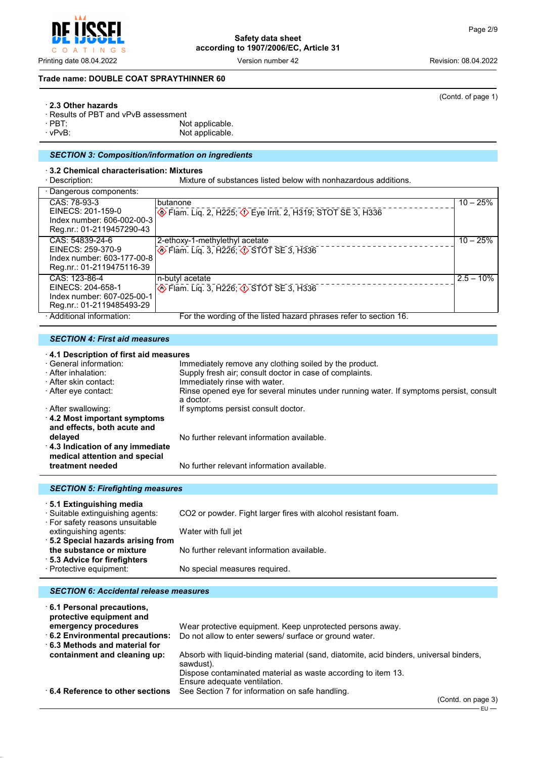Printing date 08.04.2022 Version number 42 Revision: 08.04.2022

# **Trade name: DOUBLE COAT SPRAYTHINNER 60**

# · **2.3 Other hazards**

- 
- · Results of PBT and vPvB assessment · PBT: Not applicable. Not applicable.
	-

# *SECTION 3: Composition/information on ingredients*

# · **3.2 Chemical characterisation: Mixtures**

Mixture of substances listed below with nonhazardous additions.

| · Dangerous components:                                                                         |                                                                                                 |              |
|-------------------------------------------------------------------------------------------------|-------------------------------------------------------------------------------------------------|--------------|
| CAS: 78-93-3<br>EINECS: 201-159-0<br>Index number: 606-002-00-3<br>Reg.nr.: 01-2119457290-43    | butanone<br>$\circled{4}$ Flam. Liq. 2, H225; $\circled{3}$ Eye Irrit. 2, H319; STOT SE 3, H336 | $10 - 25%$   |
| CAS: 54839-24-6<br>EINECS: 259-370-9<br>Index number: 603-177-00-8<br>Reg.nr.: 01-2119475116-39 | 2-ethoxy-1-methylethyl acetate<br>Elam. Liq. 3, H226; 3 STOT SE 3, H336                         | $10 - 25%$   |
| CAS: 123-86-4<br>EINECS: 204-658-1<br>Index number: 607-025-00-1<br>Reg.nr.: 01-2119485493-29   | n-butyl acetate<br>♦ Flam. Liq. 3, H226; ♦ STOT SE 3, H336                                      | $2.5 - 10\%$ |
| · Additional information:                                                                       | For the wording of the listed hazard phrases refer to section 16.                               |              |

# *SECTION 4: First aid measures*

# · **4.1 Description of first aid measures**

| · General information:<br>· After inhalation:<br>· After skin contact:<br>⋅ After eye contact: | Immediately remove any clothing soiled by the product.<br>Supply fresh air; consult doctor in case of complaints.<br>Immediately rinse with water.<br>Rinse opened eye for several minutes under running water. If symptoms persist, consult<br>a doctor. |
|------------------------------------------------------------------------------------------------|-----------------------------------------------------------------------------------------------------------------------------------------------------------------------------------------------------------------------------------------------------------|
| · After swallowing:<br>$\cdot$ 4.2 Most important symptoms<br>and effects, both acute and      | If symptoms persist consult doctor.                                                                                                                                                                                                                       |
| delayed<br>4.3 Indication of any immediate<br>medical attention and special                    | No further relevant information available.                                                                                                                                                                                                                |
| treatment needed                                                                               | No further relevant information available.                                                                                                                                                                                                                |

# *SECTION 5: Firefighting measures* · **5.1 Extinguishing media**

| · Suitable extinguishing agents: | CO2 or powder. Fight larger fires with alcohol resistant foam. |
|----------------------------------|----------------------------------------------------------------|
| · For safety reasons unsuitable  |                                                                |
| extinguishing agents:            | Water with full jet                                            |
| 5.2 Special hazards arising from |                                                                |
| the substance or mixture         | No further relevant information available.                     |
| ⋅ 5.3 Advice for firefighters    |                                                                |
| · Protective equipment:          | No special measures required.                                  |
|                                  |                                                                |

# *SECTION 6: Accidental release measures*

| 6.1 Personal precautions,<br>protective equipment and |                                                                                                     |
|-------------------------------------------------------|-----------------------------------------------------------------------------------------------------|
| emergency procedures                                  | Wear protective equipment. Keep unprotected persons away.                                           |
| 6.2 Environmental precautions:                        | Do not allow to enter sewers/ surface or ground water.                                              |
| $\cdot$ 6.3 Methods and material for                  |                                                                                                     |
| containment and cleaning up:                          | Absorb with liquid-binding material (sand, diatomite, acid binders, universal binders,<br>sawdust). |
|                                                       | Dispose contaminated material as waste according to item 13.                                        |
|                                                       | Ensure adequate ventilation.                                                                        |
| 6.4 Reference to other sections                       | See Section 7 for information on safe handling.                                                     |
|                                                       | $\sqrt{2}$ and $\sqrt{2}$ are seen as $\sqrt{2}$                                                    |



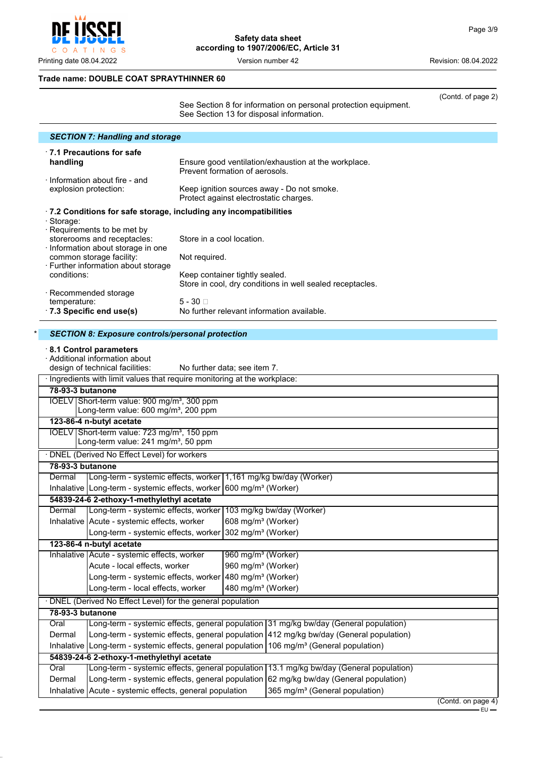$\mathsf C$ O A T I N G S

 $\overline{a}$ 

**Safety data sheet according to 1907/2006/EC, Article 31**

Printing date 08.04.2022 **Version number 42** Version 100 Version 2022

(Contd. of page 2)

# **Trade name: DOUBLE COAT SPRAYTHINNER 60**

See Section 8 for information on personal protection equipment. See Section 13 for disposal information.

| <b>SECTION 7: Handling and storage</b>                                   |                                                                                        |
|--------------------------------------------------------------------------|----------------------------------------------------------------------------------------|
| ⋅7.1 Precautions for safe                                                |                                                                                        |
| handling                                                                 | Ensure good ventilation/exhaustion at the workplace.<br>Prevent formation of aerosols. |
| $\cdot$ Information about fire - and                                     |                                                                                        |
| explosion protection:                                                    | Keep ignition sources away - Do not smoke.<br>Protect against electrostatic charges.   |
| $\cdot$ 7.2 Conditions for safe storage, including any incompatibilities |                                                                                        |
| · Storage:                                                               |                                                                                        |
| Requirements to be met by                                                |                                                                                        |
| storerooms and receptacles:<br>Information about storage in one          | Store in a cool location.                                                              |
| common storage facility:                                                 | Not required.                                                                          |
| · Further information about storage                                      |                                                                                        |
| conditions:                                                              | Keep container tightly sealed.                                                         |
|                                                                          | Store in cool, dry conditions in well sealed receptacles.                              |
| · Recommended storage                                                    |                                                                                        |
| temperature:                                                             | $5 - 30 \square$                                                                       |
| $\cdot$ 7.3 Specific end use(s)                                          | No further relevant information available.                                             |
|                                                                          |                                                                                        |
| CECTICH 0. Expressive controla increased protection                      |                                                                                        |

|                  | <b>SECTION 8: Exposure controls/personal protection</b>                                                     |                                |                                                                                         |                    |
|------------------|-------------------------------------------------------------------------------------------------------------|--------------------------------|-----------------------------------------------------------------------------------------|--------------------|
|                  | 8.1 Control parameters<br>· Additional information about                                                    |                                |                                                                                         |                    |
|                  | design of technical facilities:<br>No further data; see item 7.                                             |                                |                                                                                         |                    |
|                  | · Ingredients with limit values that require monitoring at the workplace:                                   |                                |                                                                                         |                    |
| 78-93-3 butanone |                                                                                                             |                                |                                                                                         |                    |
|                  | IOELV Short-term value: 900 mg/m <sup>3</sup> , 300 ppm<br>Long-term value: 600 mg/m <sup>3</sup> , 200 ppm |                                |                                                                                         |                    |
|                  | 123-86-4 n-butyl acetate                                                                                    |                                |                                                                                         |                    |
|                  | IOELV Short-term value: 723 mg/m <sup>3</sup> , 150 ppm<br>Long-term value: 241 mg/m <sup>3</sup> , 50 ppm  |                                |                                                                                         |                    |
|                  | · DNEL (Derived No Effect Level) for workers                                                                |                                |                                                                                         |                    |
| 78-93-3 butanone |                                                                                                             |                                |                                                                                         |                    |
| Dermal           | Long-term - systemic effects, worker 1,161 mg/kg bw/day (Worker)                                            |                                |                                                                                         |                    |
|                  | Inhalative   Long-term - systemic effects, worker                                                           | 600 mg/m <sup>3</sup> (Worker) |                                                                                         |                    |
|                  | 54839-24-6 2-ethoxy-1-methylethyl acetate                                                                   |                                |                                                                                         |                    |
| Dermal           | Long-term - systemic effects, worker                                                                        |                                | 103 mg/kg bw/day (Worker)                                                               |                    |
|                  | Inhalative Acute - systemic effects, worker                                                                 | 608 mg/m <sup>3</sup> (Worker) |                                                                                         |                    |
|                  | Long-term - systemic effects, worker                                                                        | 302 mg/m <sup>3</sup> (Worker) |                                                                                         |                    |
|                  | 123-86-4 n-butyl acetate                                                                                    |                                |                                                                                         |                    |
|                  | Inhalative Acute - systemic effects, worker                                                                 | 960 mg/m <sup>3</sup> (Worker) |                                                                                         |                    |
|                  | Acute - local effects, worker                                                                               | 960 mg/m <sup>3</sup> (Worker) |                                                                                         |                    |
|                  | Long-term - systemic effects, worker                                                                        | 480 mg/m <sup>3</sup> (Worker) |                                                                                         |                    |
|                  | Long-term - local effects, worker                                                                           | 480 mg/m <sup>3</sup> (Worker) |                                                                                         |                    |
|                  | · DNEL (Derived No Effect Level) for the general population                                                 |                                |                                                                                         |                    |
| 78-93-3 butanone |                                                                                                             |                                |                                                                                         |                    |
| Oral             |                                                                                                             |                                | Long-term - systemic effects, general population 31 mg/kg bw/day (General population)   |                    |
| Dermal           |                                                                                                             |                                | Long-term - systemic effects, general population 412 mg/kg bw/day (General population)  |                    |
|                  | Inhalative Long-term - systemic effects, general population 106 mg/m <sup>3</sup> (General population)      |                                |                                                                                         |                    |
|                  | 54839-24-6 2-ethoxy-1-methylethyl acetate                                                                   |                                |                                                                                         |                    |
| Oral             |                                                                                                             |                                | Long-term - systemic effects, general population 13.1 mg/kg bw/day (General population) |                    |
| Dermal           |                                                                                                             |                                | Long-term - systemic effects, general population 62 mg/kg bw/day (General population)   |                    |
|                  | Inhalative Acute - systemic effects, general population                                                     |                                | 365 mg/m <sup>3</sup> (General population)                                              |                    |
|                  |                                                                                                             |                                |                                                                                         | (Contd. on page 4) |
|                  |                                                                                                             |                                |                                                                                         | $EU -$             |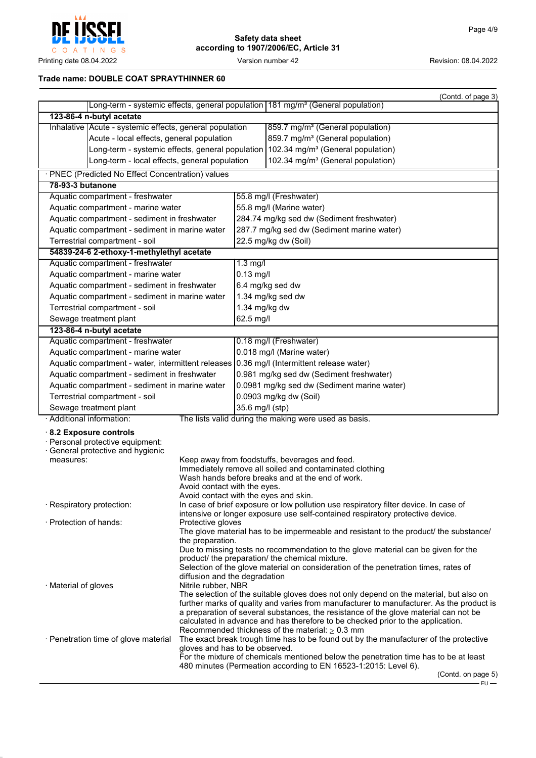

# **Trade name: DOUBLE COAT SPRAYTHINNER 60**

|                                                                                                                     |                                                                       |                                                                                           |                                                                                                                                                                                                                                                                                                                                                                                                                      | (Contd. of page 3)            |  |
|---------------------------------------------------------------------------------------------------------------------|-----------------------------------------------------------------------|-------------------------------------------------------------------------------------------|----------------------------------------------------------------------------------------------------------------------------------------------------------------------------------------------------------------------------------------------------------------------------------------------------------------------------------------------------------------------------------------------------------------------|-------------------------------|--|
|                                                                                                                     |                                                                       |                                                                                           | Long-term - systemic effects, general population 181 mg/m <sup>3</sup> (General population)                                                                                                                                                                                                                                                                                                                          |                               |  |
| 123-86-4 n-butyl acetate                                                                                            |                                                                       |                                                                                           |                                                                                                                                                                                                                                                                                                                                                                                                                      |                               |  |
| Inhalative   Acute - systemic effects, general population                                                           |                                                                       |                                                                                           | 859.7 mg/m <sup>3</sup> (General population)                                                                                                                                                                                                                                                                                                                                                                         |                               |  |
|                                                                                                                     | Acute - local effects, general population                             |                                                                                           | 859.7 mg/m <sup>3</sup> (General population)                                                                                                                                                                                                                                                                                                                                                                         |                               |  |
| Long-term - systemic effects, general population 102.34 mg/m <sup>3</sup> (General population)                      |                                                                       |                                                                                           |                                                                                                                                                                                                                                                                                                                                                                                                                      |                               |  |
| Long-term - local effects, general population                                                                       |                                                                       |                                                                                           | 102.34 mg/m <sup>3</sup> (General population)                                                                                                                                                                                                                                                                                                                                                                        |                               |  |
| · PNEC (Predicted No Effect Concentration) values                                                                   |                                                                       |                                                                                           |                                                                                                                                                                                                                                                                                                                                                                                                                      |                               |  |
| 78-93-3 butanone                                                                                                    |                                                                       |                                                                                           |                                                                                                                                                                                                                                                                                                                                                                                                                      |                               |  |
| Aquatic compartment - freshwater                                                                                    |                                                                       |                                                                                           | 55.8 mg/l (Freshwater)                                                                                                                                                                                                                                                                                                                                                                                               |                               |  |
| Aquatic compartment - marine water                                                                                  |                                                                       |                                                                                           | 55.8 mg/l (Marine water)                                                                                                                                                                                                                                                                                                                                                                                             |                               |  |
| Aquatic compartment - sediment in freshwater                                                                        |                                                                       |                                                                                           | 284.74 mg/kg sed dw (Sediment freshwater)                                                                                                                                                                                                                                                                                                                                                                            |                               |  |
| Aquatic compartment - sediment in marine water                                                                      |                                                                       |                                                                                           | 287.7 mg/kg sed dw (Sediment marine water)                                                                                                                                                                                                                                                                                                                                                                           |                               |  |
| Terrestrial compartment - soil                                                                                      |                                                                       |                                                                                           | 22.5 mg/kg dw (Soil)                                                                                                                                                                                                                                                                                                                                                                                                 |                               |  |
| 54839-24-6 2-ethoxy-1-methylethyl acetate                                                                           |                                                                       |                                                                                           |                                                                                                                                                                                                                                                                                                                                                                                                                      |                               |  |
| Aquatic compartment - freshwater                                                                                    |                                                                       | $1.3$ mg/l                                                                                |                                                                                                                                                                                                                                                                                                                                                                                                                      |                               |  |
| Aquatic compartment - marine water                                                                                  |                                                                       | $0.13$ mg/l                                                                               |                                                                                                                                                                                                                                                                                                                                                                                                                      |                               |  |
| Aquatic compartment - sediment in freshwater                                                                        |                                                                       |                                                                                           | 6.4 mg/kg sed dw                                                                                                                                                                                                                                                                                                                                                                                                     |                               |  |
| Aquatic compartment - sediment in marine water                                                                      |                                                                       |                                                                                           | 1.34 mg/kg sed dw                                                                                                                                                                                                                                                                                                                                                                                                    |                               |  |
| Terrestrial compartment - soil                                                                                      |                                                                       | 1.34 mg/kg dw                                                                             |                                                                                                                                                                                                                                                                                                                                                                                                                      |                               |  |
| Sewage treatment plant                                                                                              |                                                                       | 62.5 mg/l                                                                                 |                                                                                                                                                                                                                                                                                                                                                                                                                      |                               |  |
| 123-86-4 n-butyl acetate                                                                                            |                                                                       |                                                                                           |                                                                                                                                                                                                                                                                                                                                                                                                                      |                               |  |
| Aquatic compartment - freshwater                                                                                    |                                                                       |                                                                                           | 0.18 mg/l (Freshwater)                                                                                                                                                                                                                                                                                                                                                                                               |                               |  |
| Aquatic compartment - marine water                                                                                  |                                                                       |                                                                                           | 0.018 mg/l (Marine water)                                                                                                                                                                                                                                                                                                                                                                                            |                               |  |
|                                                                                                                     |                                                                       | Aquatic compartment - water, intermittent releases 0.36 mg/l (Intermittent release water) |                                                                                                                                                                                                                                                                                                                                                                                                                      |                               |  |
| Aquatic compartment - sediment in freshwater                                                                        |                                                                       |                                                                                           | 0.981 mg/kg sed dw (Sediment freshwater)                                                                                                                                                                                                                                                                                                                                                                             |                               |  |
| Aquatic compartment - sediment in marine water                                                                      |                                                                       |                                                                                           | 0.0981 mg/kg sed dw (Sediment marine water)                                                                                                                                                                                                                                                                                                                                                                          |                               |  |
| Terrestrial compartment - soil                                                                                      |                                                                       |                                                                                           | 0.0903 mg/kg dw (Soil)                                                                                                                                                                                                                                                                                                                                                                                               |                               |  |
| Sewage treatment plant                                                                                              |                                                                       | 35.6 mg/l (stp)                                                                           |                                                                                                                                                                                                                                                                                                                                                                                                                      |                               |  |
| · Additional information:                                                                                           |                                                                       |                                                                                           | The lists valid during the making were used as basis.                                                                                                                                                                                                                                                                                                                                                                |                               |  |
| $\cdot$ 8.2 Exposure controls<br>· Personal protective equipment:<br>· General protective and hygienic<br>measures: | Avoid contact with the eyes.<br>Avoid contact with the eyes and skin. |                                                                                           | Keep away from foodstuffs, beverages and feed.<br>Immediately remove all soiled and contaminated clothing<br>Wash hands before breaks and at the end of work.                                                                                                                                                                                                                                                        |                               |  |
| · Respiratory protection:                                                                                           |                                                                       |                                                                                           | In case of brief exposure or low pollution use respiratory filter device. In case of                                                                                                                                                                                                                                                                                                                                 |                               |  |
|                                                                                                                     |                                                                       |                                                                                           | intensive or longer exposure use self-contained respiratory protective device.                                                                                                                                                                                                                                                                                                                                       |                               |  |
| · Protection of hands:                                                                                              | Protective gloves                                                     |                                                                                           |                                                                                                                                                                                                                                                                                                                                                                                                                      |                               |  |
|                                                                                                                     | the preparation.                                                      |                                                                                           | The glove material has to be impermeable and resistant to the product the substance                                                                                                                                                                                                                                                                                                                                  |                               |  |
|                                                                                                                     |                                                                       |                                                                                           | Due to missing tests no recommendation to the glove material can be given for the                                                                                                                                                                                                                                                                                                                                    |                               |  |
|                                                                                                                     |                                                                       |                                                                                           | product/ the preparation/ the chemical mixture.                                                                                                                                                                                                                                                                                                                                                                      |                               |  |
|                                                                                                                     |                                                                       |                                                                                           | Selection of the glove material on consideration of the penetration times, rates of                                                                                                                                                                                                                                                                                                                                  |                               |  |
|                                                                                                                     | diffusion and the degradation                                         |                                                                                           |                                                                                                                                                                                                                                                                                                                                                                                                                      |                               |  |
| · Material of gloves                                                                                                | Nitrile rubber, NBR                                                   |                                                                                           | The selection of the suitable gloves does not only depend on the material, but also on                                                                                                                                                                                                                                                                                                                               |                               |  |
| · Penetration time of glove material                                                                                |                                                                       |                                                                                           | further marks of quality and varies from manufacturer to manufacturer. As the product is<br>a preparation of several substances, the resistance of the glove material can not be<br>calculated in advance and has therefore to be checked prior to the application.<br>Recommended thickness of the material: $\geq 0.3$ mm<br>The exact break trough time has to be found out by the manufacturer of the protective |                               |  |
|                                                                                                                     | gloves and has to be observed.                                        |                                                                                           | For the mixture of chemicals mentioned below the penetration time has to be at least                                                                                                                                                                                                                                                                                                                                 |                               |  |
|                                                                                                                     |                                                                       |                                                                                           | 480 minutes (Permeation according to EN 16523-1:2015: Level 6).                                                                                                                                                                                                                                                                                                                                                      |                               |  |
|                                                                                                                     |                                                                       |                                                                                           |                                                                                                                                                                                                                                                                                                                                                                                                                      | (Contd. on page 5)<br>$-EU$ - |  |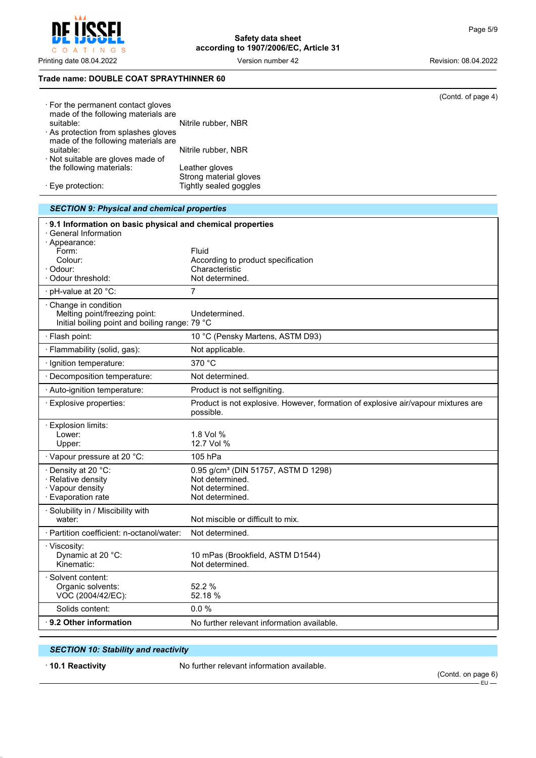POFI O A T I N G S  $\mathsf{C}$ 

**Safety data sheet according to 1907/2006/EC, Article 31**

Printing date 08.04.2022 Version number 42 Revision: 08.04.2022

## **Trade name: DOUBLE COAT SPRAYTHINNER 60**

|                                                                           | (Contd. of page 4)                                                                             |
|---------------------------------------------------------------------------|------------------------------------------------------------------------------------------------|
| · For the permanent contact gloves<br>made of the following materials are |                                                                                                |
| suitable:                                                                 | Nitrile rubber, NBR                                                                            |
| As protection from splashes gloves                                        |                                                                                                |
| made of the following materials are<br>suitable:                          | Nitrile rubber, NBR                                                                            |
| · Not suitable are gloves made of                                         |                                                                                                |
| the following materials:                                                  | Leather gloves                                                                                 |
| Eye protection:                                                           | Strong material gloves<br>Tightly sealed goggles                                               |
|                                                                           |                                                                                                |
| <b>SECTION 9: Physical and chemical properties</b>                        |                                                                                                |
| 9.1 Information on basic physical and chemical properties                 |                                                                                                |
| · General Information                                                     |                                                                                                |
| · Appearance:<br>Form:                                                    | Fluid                                                                                          |
| Colour:                                                                   | According to product specification                                                             |
| · Odour:                                                                  | Characteristic                                                                                 |
| · Odour threshold:                                                        | Not determined.                                                                                |
| · pH-value at 20 °C:                                                      | 7                                                                                              |
| · Change in condition<br>Melting point/freezing point:                    | Undetermined.                                                                                  |
| Initial boiling point and boiling range: 79 °C                            |                                                                                                |
| · Flash point:                                                            | 10 °C (Pensky Martens, ASTM D93)                                                               |
| · Flammability (solid, gas):                                              | Not applicable.                                                                                |
| · Ignition temperature:                                                   | 370 °C                                                                                         |
| · Decomposition temperature:                                              | Not determined.                                                                                |
| · Auto-ignition temperature:                                              | Product is not selfigniting.                                                                   |
| · Explosive properties:                                                   | Product is not explosive. However, formation of explosive air/vapour mixtures are<br>possible. |
| · Explosion limits:                                                       |                                                                                                |
| Lower:                                                                    | 1.8 Vol %<br>12.7 Vol %                                                                        |
| Upper:                                                                    |                                                                                                |
| · Vapour pressure at 20 °C:                                               | 105 hPa                                                                                        |
| · Density at 20 °C:<br>· Relative density                                 | 0.95 g/cm <sup>3</sup> (DIN 51757, ASTM D 1298)<br>Not determined.                             |
| · Vapour density                                                          | Not determined.                                                                                |
| · Evaporation rate                                                        | Not determined.                                                                                |
| · Solubility in / Miscibility with<br>water:                              | Not miscible or difficult to mix.                                                              |
| · Partition coefficient: n-octanol/water:                                 | Not determined.                                                                                |
| · Viscosity:                                                              |                                                                                                |
| Dynamic at 20 °C:                                                         | 10 mPas (Brookfield, ASTM D1544)                                                               |
| Kinematic:                                                                | Not determined.                                                                                |
| · Solvent content:                                                        |                                                                                                |
| Organic solvents:<br>VOC (2004/42/EC):                                    | 52.2 %<br>52.18 %                                                                              |
| Solids content:                                                           | 0.0%                                                                                           |
| 9.2 Other information                                                     | No further relevant information available.                                                     |
|                                                                           |                                                                                                |

# *SECTION 10: Stability and reactivity*

· **10.1 Reactivity** No further relevant information available.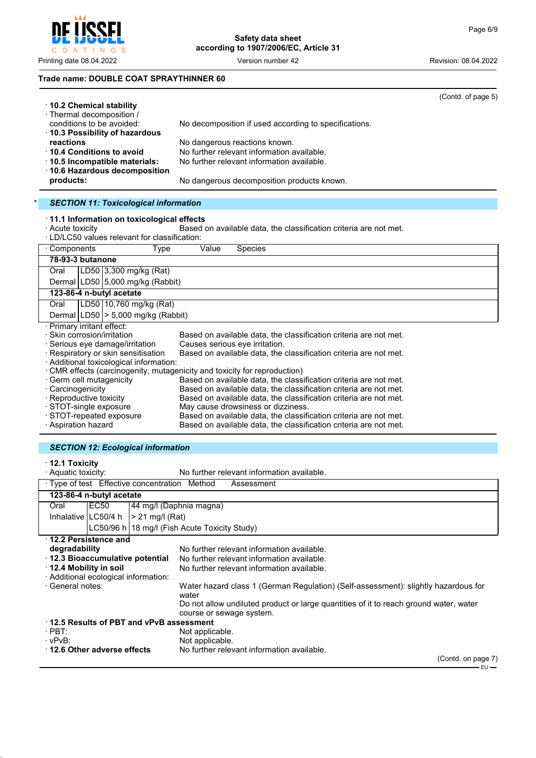### **Trade name: DOUBLE COAT SPRAYTHINNER 60**

| ⋅ 10.2 Chemical stability                         |                                                                   | (Contd. of page 5) |
|---------------------------------------------------|-------------------------------------------------------------------|--------------------|
| · Thermal decomposition /                         |                                                                   |                    |
| conditions to be avoided:                         | No decomposition if used according to specifications.             |                    |
| ⋅ 10.3 Possibility of hazardous                   |                                                                   |                    |
| reactions                                         | No dangerous reactions known.                                     |                    |
| $\cdot$ 10.4 Conditions to avoid                  | No further relevant information available.                        |                    |
| $\cdot$ 10.5 Incompatible materials:              | No further relevant information available.                        |                    |
| 10.6 Hazardous decomposition                      |                                                                   |                    |
| products:                                         | No dangerous decomposition products known.                        |                    |
|                                                   |                                                                   |                    |
| <b>SECTION 11: Toxicological information</b>      |                                                                   |                    |
| $\cdot$ 11.1 Information on toxicological effects |                                                                   |                    |
| · Acute toxicity                                  | Based on available data, the classification criteria are not met. |                    |
| · LD/LC50 values relevant for classification:     |                                                                   |                    |
| Components<br>Type                                | Value<br><b>Species</b>                                           |                    |
| 78-93-3 butanone                                  |                                                                   |                    |
| LD50   3,300 mg/kg (Rat)<br>Oral                  |                                                                   |                    |
| Dermal LD50 5,000 mg/kg (Rabbit)                  |                                                                   |                    |
| 123-86-4 n-butyl acetate                          |                                                                   |                    |

Oral LD50 10,760 mg/kg (Rat)

- Dermal LD50 > 5,000 mg/kg (Rabbit)
- · Primary irritant effect:
- 

Based on available data, the classification criteria are not met.<br>Causes serious eye irritation.  $\cdot$  Serious eye damage/irritation

- · Respiratory or skin sensitisation Based on available data, the classification criteria are not met.
- · Additional toxicological information:
- 
- · CMR effects (carcinogenity, mutagenicity and toxicity for reproduction) • Germ cell mutagenicity **Based on available data, the classification criteria are not met.**<br>• Carcinogenicity **Based on available data, the classification criteria are not met.** · Carcinogenicity **Based on available data, the classification criteria are not met.**<br>· Reproductive toxicity **Based on available data, the classification criteria are not met.** · Reproductive toxicity Based on available data, the classification criteria are not met.<br>· STOT-single exposure May cause drowsiness or dizziness. May cause drowsiness or dizziness. · STOT-repeated exposure Based on available data, the classification criteria are not met.<br>· Aspiration hazard Based on available data, the classification criteria are not met. Based on available data, the classification criteria are not met.

### *SECTION 12: Ecological information*

# · **12.1 Toxicity**

No further relevant information available. · Type of test Effective concentration Method Assessment

|                                      |                                    | rype or test. Encouve concentration internou |                                                                                             |        |  |
|--------------------------------------|------------------------------------|----------------------------------------------|---------------------------------------------------------------------------------------------|--------|--|
|                                      | 123-86-4 n-butyl acetate           |                                              |                                                                                             |        |  |
| Oral                                 | EC50                               |                                              | 44 mg/l (Daphnia magna)                                                                     |        |  |
|                                      | Inhalative LC50/4 h                | $> 21$ mg/l (Rat)                            |                                                                                             |        |  |
|                                      |                                    |                                              | LC50/96 h   18 mg/l (Fish Acute Toxicity Study)                                             |        |  |
|                                      | $\cdot$ 12.2 Persistence and       |                                              |                                                                                             |        |  |
| degradability                        |                                    |                                              | No further relevant information available.                                                  |        |  |
| 12.3 Bioaccumulative potential       |                                    |                                              | No further relevant information available.                                                  |        |  |
| ⋅ 12.4 Mobility in soil              |                                    |                                              | No further relevant information available.                                                  |        |  |
| · Additional ecological information: |                                    |                                              |                                                                                             |        |  |
| · General notes:                     |                                    |                                              | Water hazard class 1 (German Regulation) (Self-assessment): slightly hazardous for<br>water |        |  |
|                                      |                                    |                                              | Do not allow undiluted product or large quantities of it to reach ground water, water       |        |  |
|                                      |                                    |                                              | course or sewage system.                                                                    |        |  |
|                                      |                                    | 12.5 Results of PBT and vPvB assessment      |                                                                                             |        |  |
| $\cdot$ PBT:                         |                                    |                                              | Not applicable.                                                                             |        |  |
| · vPvB:                              |                                    |                                              | Not applicable.                                                                             |        |  |
|                                      | $\cdot$ 12.6 Other adverse effects |                                              | No further relevant information available.                                                  |        |  |
|                                      |                                    |                                              | (Contd. on page 7)                                                                          |        |  |
|                                      |                                    |                                              |                                                                                             | . FU — |  |



 $(C_{\text{cutoff}} \cdot f)$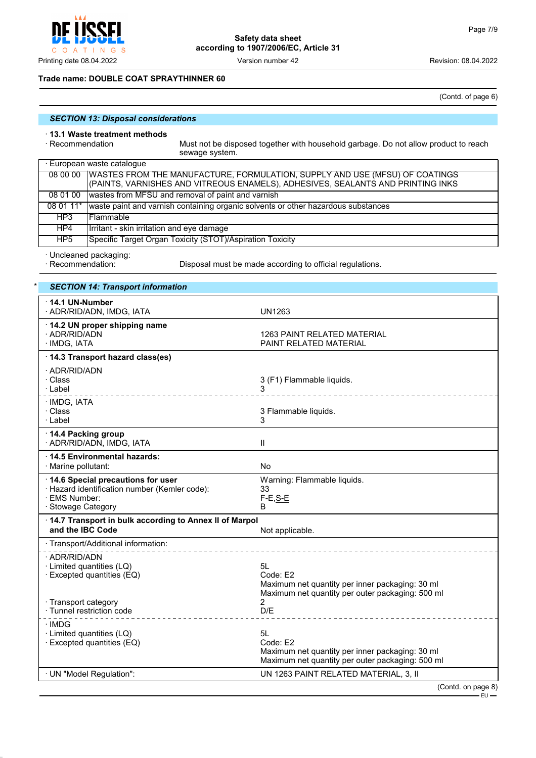

### **Trade name: DOUBLE COAT SPRAYTHINNER 60**

(Contd. of page 6)

## *SECTION 13: Disposal considerations*

# · **13.1 Waste treatment methods**

Must not be disposed together with household garbage. Do not allow product to reach sewage system.

| · European waste catalogue |                                                                                                                                                                           |  |
|----------------------------|---------------------------------------------------------------------------------------------------------------------------------------------------------------------------|--|
|                            | 08 00 00   WASTES FROM THE MANUFACTURE, FORMULATION, SUPPLY AND USE (MFSU) OF COATINGS<br>(PAINTS, VARNISHES AND VITREOUS ENAMELS), ADHESIVES, SEALANTS AND PRINTING INKS |  |
| 08 01 00                   | wastes from MFSU and removal of paint and varnish                                                                                                                         |  |
| $080111*$                  | waste paint and varnish containing organic solvents or other hazardous substances                                                                                         |  |
| HP3                        | l Flammable.                                                                                                                                                              |  |
| HP4                        | Irritant - skin irritation and eye damage                                                                                                                                 |  |
| HP5                        | Specific Target Organ Toxicity (STOT)/Aspiration Toxicity                                                                                                                 |  |

· Uncleaned packaging:

Disposal must be made according to official regulations.

# **SECTION 14: Transport information**

| 14.1 UN-Number<br>· ADR/RID/ADN, IMDG, IATA                                                                               | UN1263                                                                                                                |  |  |
|---------------------------------------------------------------------------------------------------------------------------|-----------------------------------------------------------------------------------------------------------------------|--|--|
| 14.2 UN proper shipping name<br>· ADR/RID/ADN<br>· IMDG, IATA                                                             | <b>1263 PAINT RELATED MATERIAL</b><br>PAINT RELATED MATERIAL                                                          |  |  |
| 14.3 Transport hazard class(es)                                                                                           |                                                                                                                       |  |  |
| · ADR/RID/ADN<br>· Class<br>· Label                                                                                       | 3 (F1) Flammable liquids.<br>_______________________________                                                          |  |  |
| · IMDG, IATA<br>· Class<br>· Label                                                                                        | 3 Flammable liquids.<br>3                                                                                             |  |  |
| 14.4 Packing group<br>· ADR/RID/ADN, IMDG, IATA                                                                           | $\mathbf{II}$                                                                                                         |  |  |
| 14.5 Environmental hazards:<br>· Marine pollutant:                                                                        | <b>No</b>                                                                                                             |  |  |
| 14.6 Special precautions for user<br>· Hazard identification number (Kemler code):<br>· EMS Number:<br>· Stowage Category | Warning: Flammable liquids.<br>33<br>$F-E, S-E$<br>В                                                                  |  |  |
| 14.7 Transport in bulk according to Annex II of Marpol<br>and the IBC Code<br>Not applicable.                             |                                                                                                                       |  |  |
| · Transport/Additional information:                                                                                       |                                                                                                                       |  |  |
| · ADR/RID/ADN<br>· Limited quantities (LQ)<br>· Excepted quantities (EQ)                                                  | 5L<br>Code: E2<br>Maximum net quantity per inner packaging: 30 ml<br>Maximum net quantity per outer packaging: 500 ml |  |  |
| · Transport category<br>· Tunnel restriction code                                                                         | 2<br>D/E                                                                                                              |  |  |
| ∙IMDG<br>· Limited quantities (LQ)<br>$\cdot$ Excepted quantities (EQ)                                                    | 5L<br>Code: E2<br>Maximum net quantity per inner packaging: 30 ml<br>Maximum net quantity per outer packaging: 500 ml |  |  |
| · UN "Model Regulation":                                                                                                  | UN 1263 PAINT RELATED MATERIAL, 3, II                                                                                 |  |  |
|                                                                                                                           | (Contd. on page 8)                                                                                                    |  |  |

EU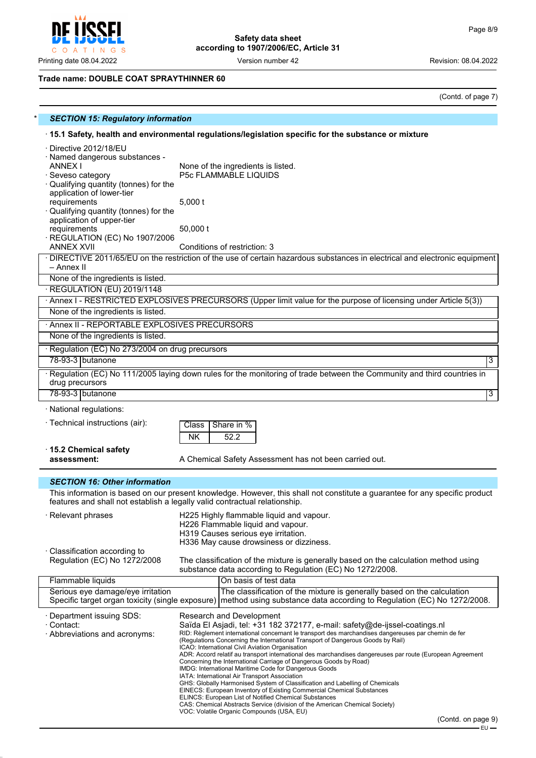**CCFI** Į C O A T I N G S

**Safety data sheet according to 1907/2006/EC, Article 31**

Printing date 08.04.2022 **Version number 42** Version 100 Version 2022

# **Trade name: DOUBLE COAT SPRAYTHINNER 60**

(Contd. of page 7)

| <b>SECTION 15: Regulatory information</b>                                                                                                                                                                                                                                                                                    |                                                                                                                                                                                                           |  |  |  |  |
|------------------------------------------------------------------------------------------------------------------------------------------------------------------------------------------------------------------------------------------------------------------------------------------------------------------------------|-----------------------------------------------------------------------------------------------------------------------------------------------------------------------------------------------------------|--|--|--|--|
|                                                                                                                                                                                                                                                                                                                              | 15.1 Safety, health and environmental regulations/legislation specific for the substance or mixture                                                                                                       |  |  |  |  |
| · Directive 2012/18/EU<br>· Named dangerous substances -<br><b>ANNEX I</b><br>Seveso category<br>Qualifying quantity (tonnes) for the<br>application of lower-tier<br>requirements<br>Qualifying quantity (tonnes) for the<br>application of upper-tier<br>requirements<br>REGULATION (EC) No 1907/2006<br><b>ANNEX XVII</b> | None of the ingredients is listed.<br>P5c FLAMMABLE LIQUIDS<br>$5,000$ t<br>50,000 t<br>Conditions of restriction: 3                                                                                      |  |  |  |  |
|                                                                                                                                                                                                                                                                                                                              | · DIRECTIVE 2011/65/EU on the restriction of the use of certain hazardous substances in electrical and electronic equipment                                                                               |  |  |  |  |
| – Annex II                                                                                                                                                                                                                                                                                                                   |                                                                                                                                                                                                           |  |  |  |  |
| None of the ingredients is listed.                                                                                                                                                                                                                                                                                           |                                                                                                                                                                                                           |  |  |  |  |
| REGULATION (EU) 2019/1148                                                                                                                                                                                                                                                                                                    |                                                                                                                                                                                                           |  |  |  |  |
|                                                                                                                                                                                                                                                                                                                              | · Annex I - RESTRICTED EXPLOSIVES PRECURSORS (Upper limit value for the purpose of licensing under Article 5(3))                                                                                          |  |  |  |  |
| None of the ingredients is listed.                                                                                                                                                                                                                                                                                           |                                                                                                                                                                                                           |  |  |  |  |
| Annex II - REPORTABLE EXPLOSIVES PRECURSORS                                                                                                                                                                                                                                                                                  |                                                                                                                                                                                                           |  |  |  |  |
| None of the ingredients is listed.                                                                                                                                                                                                                                                                                           |                                                                                                                                                                                                           |  |  |  |  |
| · Regulation (EC) No 273/2004 on drug precursors                                                                                                                                                                                                                                                                             |                                                                                                                                                                                                           |  |  |  |  |
| 78-93-3 butanone                                                                                                                                                                                                                                                                                                             | 3                                                                                                                                                                                                         |  |  |  |  |
| drug precursors                                                                                                                                                                                                                                                                                                              | · Regulation (EC) No 111/2005 laying down rules for the monitoring of trade between the Community and third countries in                                                                                  |  |  |  |  |
| 78-93-3 butanone                                                                                                                                                                                                                                                                                                             | $\overline{3}$                                                                                                                                                                                            |  |  |  |  |
| · National regulations:                                                                                                                                                                                                                                                                                                      |                                                                                                                                                                                                           |  |  |  |  |
| · Technical instructions (air):                                                                                                                                                                                                                                                                                              | Share in %<br>Class                                                                                                                                                                                       |  |  |  |  |
|                                                                                                                                                                                                                                                                                                                              | <b>NK</b><br>52.2                                                                                                                                                                                         |  |  |  |  |
| ⋅15.2 Chemical safety                                                                                                                                                                                                                                                                                                        |                                                                                                                                                                                                           |  |  |  |  |
| assessment:                                                                                                                                                                                                                                                                                                                  | A Chemical Safety Assessment has not been carried out.                                                                                                                                                    |  |  |  |  |
|                                                                                                                                                                                                                                                                                                                              |                                                                                                                                                                                                           |  |  |  |  |
| <b>SECTION 16: Other information</b>                                                                                                                                                                                                                                                                                         |                                                                                                                                                                                                           |  |  |  |  |
|                                                                                                                                                                                                                                                                                                                              | This information is based on our present knowledge. However, this shall not constitute a guarantee for any specific product<br>features and shall not establish a legally valid contractual relationship. |  |  |  |  |
| $\cdot$ Relevant phrases                                                                                                                                                                                                                                                                                                     | H225 Highly flammable liquid and vapour.<br>H226 Flammable liquid and vapour.<br>H319 Causes serious eye irritation.<br>H336 May cause drowsiness or dizziness.                                           |  |  |  |  |
| Classification according to<br>Regulation (EC) No 1272/2008                                                                                                                                                                                                                                                                  | The classification of the mixture is generally based on the calculation method using<br>substance data according to Regulation (EC) No 1272/2008.                                                         |  |  |  |  |
| Flammable liquids                                                                                                                                                                                                                                                                                                            | On basis of test data                                                                                                                                                                                     |  |  |  |  |
| Serious eye damage/eye irritation                                                                                                                                                                                                                                                                                            | The classification of the mixture is generally based on the calculation<br>Specific target organ toxicity (single exposure) method using substance data according to Regulation (EC) No 1272/2008.        |  |  |  |  |
| · Department issuing SDS:                                                                                                                                                                                                                                                                                                    | Research and Development                                                                                                                                                                                  |  |  |  |  |
| · Contact:                                                                                                                                                                                                                                                                                                                   | Saïda El Asjadi, tel: +31 182 372177, e-mail: safety@de-ijssel-coatings.nl                                                                                                                                |  |  |  |  |
| · Abbreviations and acronyms:                                                                                                                                                                                                                                                                                                | RID: Règlement international concernant le transport des marchandises dangereuses par chemin de fer<br>(Regulations Concerning the International Transport of Dangerous Goods by Rail)                    |  |  |  |  |
|                                                                                                                                                                                                                                                                                                                              | ICAO: International Civil Aviation Organisation<br>ADR: Accord relatif au transport international des marchandises dangereuses par route (European Agreement                                              |  |  |  |  |
|                                                                                                                                                                                                                                                                                                                              | Concerning the International Carriage of Dangerous Goods by Road)                                                                                                                                         |  |  |  |  |
|                                                                                                                                                                                                                                                                                                                              | IMDG: International Maritime Code for Dangerous Goods<br>IATA: International Air Transport Association                                                                                                    |  |  |  |  |
|                                                                                                                                                                                                                                                                                                                              | GHS: Globally Harmonised System of Classification and Labelling of Chemicals                                                                                                                              |  |  |  |  |
|                                                                                                                                                                                                                                                                                                                              | EINECS: European Inventory of Existing Commercial Chemical Substances<br><b>ELINCS: European List of Notified Chemical Substances</b>                                                                     |  |  |  |  |
|                                                                                                                                                                                                                                                                                                                              | CAS: Chemical Abstracts Service (division of the American Chemical Society)<br>VOC: Volatile Organic Compounds (USA, EU)                                                                                  |  |  |  |  |